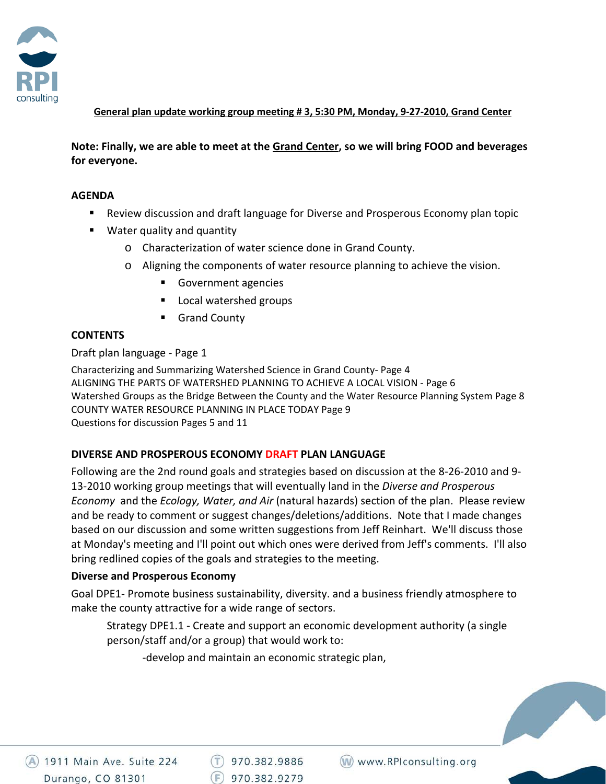

**General plan update working group meeting # 3, 5:30 PM, Monday, 9‐27‐2010, Grand Center**

**Note: Finally, we are able to meet at the Grand Center, so we will bring FOOD and beverages for everyone.**

#### **AGENDA**

- Review discussion and draft language for Diverse and Prosperous Economy plan topic
- Water quality and quantity
	- o Characterization of water science done in Grand County.
	- o Aligning the components of water resource planning to achieve the vision.
		- Government agencies
		- Local watershed groups
		- Grand County

# **CONTENTS**

Draft plan language ‐ Page 1

Characterizing and Summarizing Watershed Science in Grand County‐ Page 4 ALIGNING THE PARTS OF WATERSHED PLANNING TO ACHIEVE A LOCAL VISION ‐ Page 6 Watershed Groups as the Bridge Between the County and the Water Resource Planning System Page 8 COUNTY WATER RESOURCE PLANNING IN PLACE TODAY Page 9 Questions for discussion Pages 5 and 11

# **DIVERSE AND PROSPEROUS ECONOMY DRAFT PLAN LANGUAGE**

Following are the 2nd round goals and strategies based on discussion at the 8‐26‐2010 and 9‐ 13‐2010 working group meetings that will eventually land in the *Diverse and Prosperous Economy* and the *Ecology, Water, and Air* (natural hazards) section of the plan. Please review and be ready to comment or suggest changes/deletions/additions. Note that I made changes based on our discussion and some written suggestions from Jeff Reinhart. We'll discuss those at Monday's meeting and I'll point out which ones were derived from Jeff's comments. I'll also bring redlined copies of the goals and strategies to the meeting.

# **Diverse and Prosperous Economy**

Goal DPE1‐ Promote business sustainability, diversity. and a business friendly atmosphere to make the county attractive for a wide range of sectors.

Strategy DPE1.1 ‐ Create and support an economic development authority (a single person/staff and/or a group) that would work to:

‐develop and maintain an economic strategic plan,

4 1911 Main Ave. Suite 224 Durango, CO 81301

 $(T)$  970.382.9886  $(F)$  970.382.9279

(W) www.RPIconsulting.org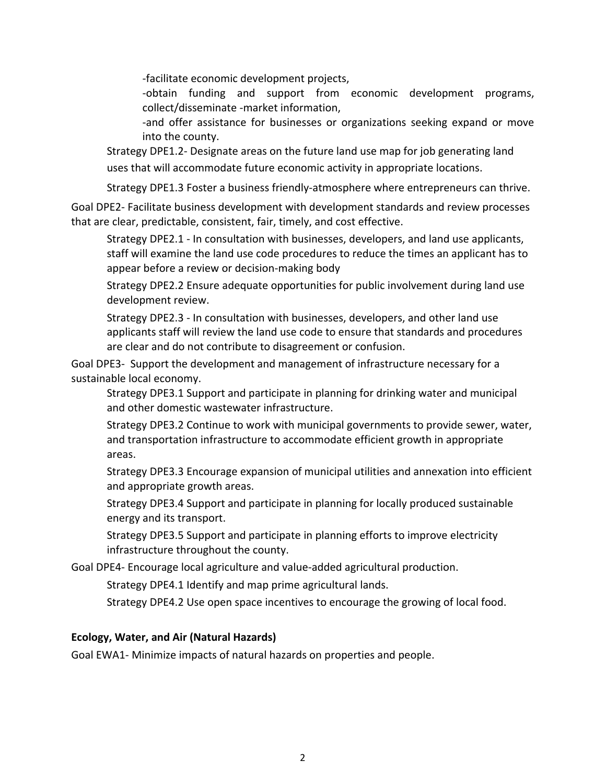‐facilitate economic development projects,

‐obtain funding and support from economic development programs, collect/disseminate ‐market information,

‐and offer assistance for businesses or organizations seeking expand or move into the county.

Strategy DPE1.2‐ Designate areas on the future land use map for job generating land uses that will accommodate future economic activity in appropriate locations.

Strategy DPE1.3 Foster a business friendly‐atmosphere where entrepreneurs can thrive.

Goal DPE2‐ Facilitate business development with development standards and review processes that are clear, predictable, consistent, fair, timely, and cost effective.

Strategy DPE2.1 ‐ In consultation with businesses, developers, and land use applicants, staff will examine the land use code procedures to reduce the times an applicant has to appear before a review or decision‐making body

Strategy DPE2.2 Ensure adequate opportunities for public involvement during land use development review.

Strategy DPE2.3 ‐ In consultation with businesses, developers, and other land use applicants staff will review the land use code to ensure that standards and procedures are clear and do not contribute to disagreement or confusion.

Goal DPE3‐ Support the development and management of infrastructure necessary for a sustainable local economy.

Strategy DPE3.1 Support and participate in planning for drinking water and municipal and other domestic wastewater infrastructure.

Strategy DPE3.2 Continue to work with municipal governments to provide sewer, water, and transportation infrastructure to accommodate efficient growth in appropriate areas.

Strategy DPE3.3 Encourage expansion of municipal utilities and annexation into efficient and appropriate growth areas.

Strategy DPE3.4 Support and participate in planning for locally produced sustainable energy and its transport.

Strategy DPE3.5 Support and participate in planning efforts to improve electricity infrastructure throughout the county.

Goal DPE4‐ Encourage local agriculture and value‐added agricultural production.

Strategy DPE4.1 Identify and map prime agricultural lands.

Strategy DPE4.2 Use open space incentives to encourage the growing of local food.

# **Ecology, Water, and Air (Natural Hazards)**

Goal EWA1‐ Minimize impacts of natural hazards on properties and people.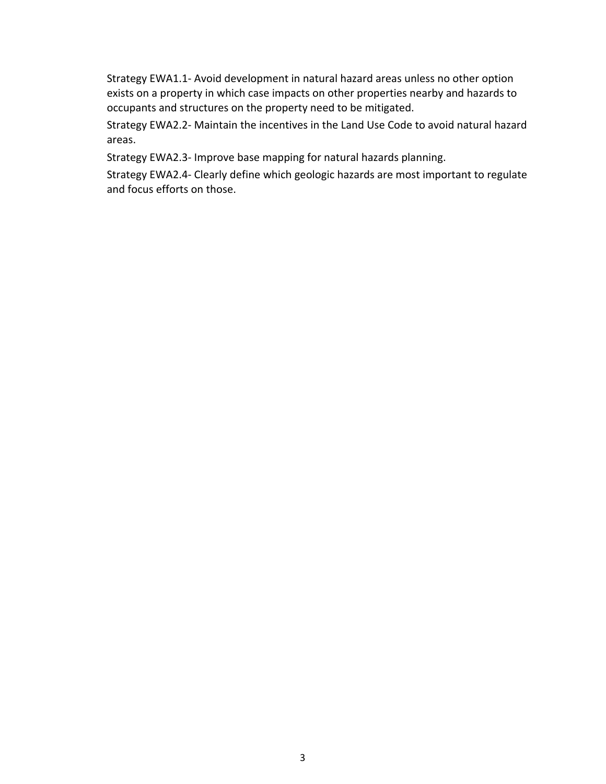Strategy EWA1.1‐ Avoid development in natural hazard areas unless no other option exists on a property in which case impacts on other properties nearby and hazards to occupants and structures on the property need to be mitigated.

Strategy EWA2.2‐ Maintain the incentives in the Land Use Code to avoid natural hazard areas.

Strategy EWA2.3‐ Improve base mapping for natural hazards planning.

Strategy EWA2.4‐ Clearly define which geologic hazards are most important to regulate and focus efforts on those.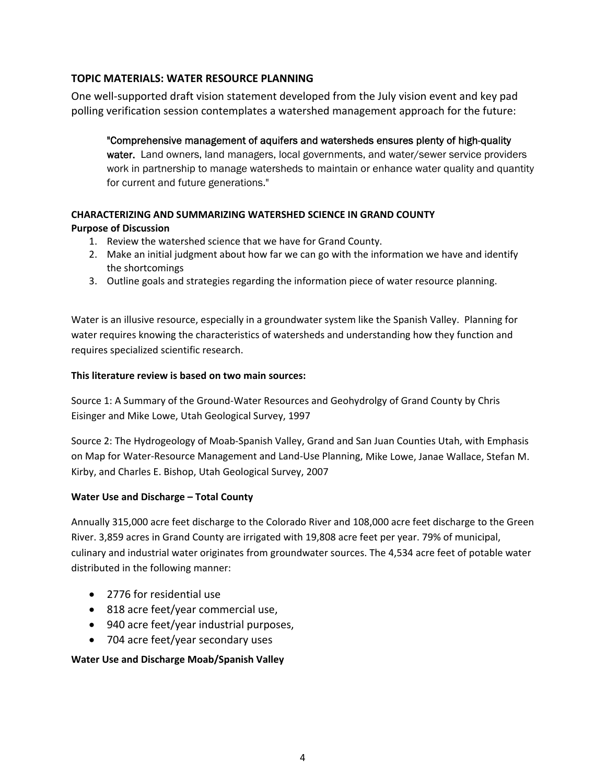# **TOPIC MATERIALS: WATER RESOURCE PLANNING**

One well‐supported draft vision statement developed from the July vision event and key pad polling verification session contemplates a watershed management approach for the future:

"Comprehensive management of aquifers and watersheds ensures plenty of high-quality water. Land owners, land managers, local governments, and water/sewer service providers work in partnership to manage watersheds to maintain or enhance water quality and quantity for current and future generations."

# **CHARACTERIZING AND SUMMARIZING WATERSHED SCIENCE IN GRAND COUNTY Purpose of Discussion**

- 1. Review the watershed science that we have for Grand County.
- 2. Make an initial judgment about how far we can go with the information we have and identify the shortcomings
- 3. Outline goals and strategies regarding the information piece of water resource planning.

Water is an illusive resource, especially in a groundwater system like the Spanish Valley. Planning for water requires knowing the characteristics of watersheds and understanding how they function and requires specialized scientific research.

#### **This literature review is based on two main sources:**

Source 1: A Summary of the Ground‐Water Resources and Geohydrolgy of Grand County by Chris Eisinger and Mike Lowe, Utah Geological Survey, 1997

Source 2: The Hydrogeology of Moab‐Spanish Valley, Grand and San Juan Counties Utah, with Emphasis on Map for Water‐Resource Management and Land‐Use Planning, Mike Lowe, Janae Wallace, Stefan M. Kirby, and Charles E. Bishop, Utah Geological Survey, 2007

# **Water Use and Discharge – Total County**

Annually 315,000 acre feet discharge to the Colorado River and 108,000 acre feet discharge to the Green River. 3,859 acres in Grand County are irrigated with 19,808 acre feet per year. 79% of municipal, culinary and industrial water originates from groundwater sources. The 4,534 acre feet of potable water distributed in the following manner:

- 2776 for residential use
- 818 acre feet/year commercial use,
- 940 acre feet/year industrial purposes,
- 704 acre feet/year secondary uses

# **Water Use and Discharge Moab/Spanish Valley**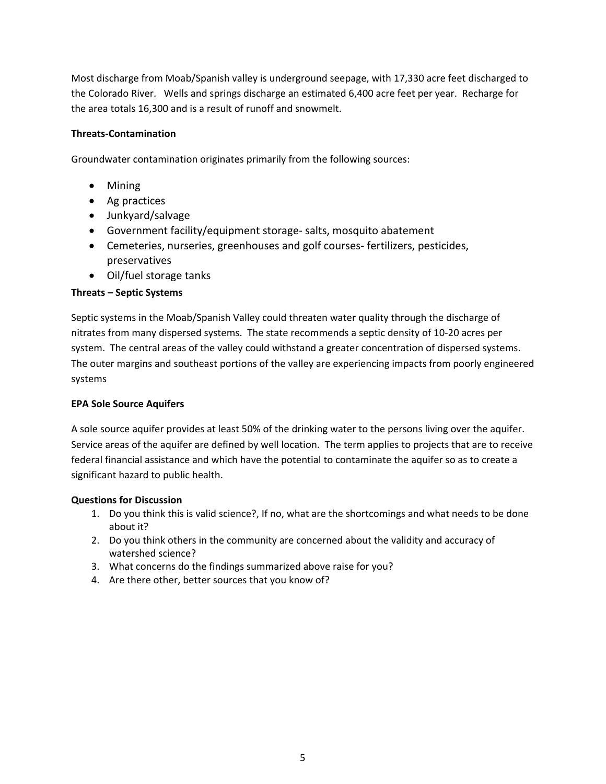Most discharge from Moab/Spanish valley is underground seepage, with 17,330 acre feet discharged to the Colorado River. Wells and springs discharge an estimated 6,400 acre feet per year. Recharge for the area totals 16,300 and is a result of runoff and snowmelt.

#### **Threats‐Contamination**

Groundwater contamination originates primarily from the following sources:

- Mining
- Ag practices
- Junkyard/salvage
- Government facility/equipment storage‐ salts, mosquito abatement
- Cemeteries, nurseries, greenhouses and golf courses-fertilizers, pesticides, preservatives
- Oil/fuel storage tanks

#### **Threats – Septic Systems**

Septic systems in the Moab/Spanish Valley could threaten water quality through the discharge of nitrates from many dispersed systems. The state recommends a septic density of 10‐20 acres per system. The central areas of the valley could withstand a greater concentration of dispersed systems. The outer margins and southeast portions of the valley are experiencing impacts from poorly engineered systems

#### **EPA Sole Source Aquifers**

A sole source aquifer provides at least 50% of the drinking water to the persons living over the aquifer. Service areas of the aquifer are defined by well location. The term applies to projects that are to receive federal financial assistance and which have the potential to contaminate the aquifer so as to create a significant hazard to public health.

#### **Questions for Discussion**

- 1. Do you think this is valid science?, If no, what are the shortcomings and what needs to be done about it?
- 2. Do you think others in the community are concerned about the validity and accuracy of watershed science?
- 3. What concerns do the findings summarized above raise for you?
- 4. Are there other, better sources that you know of?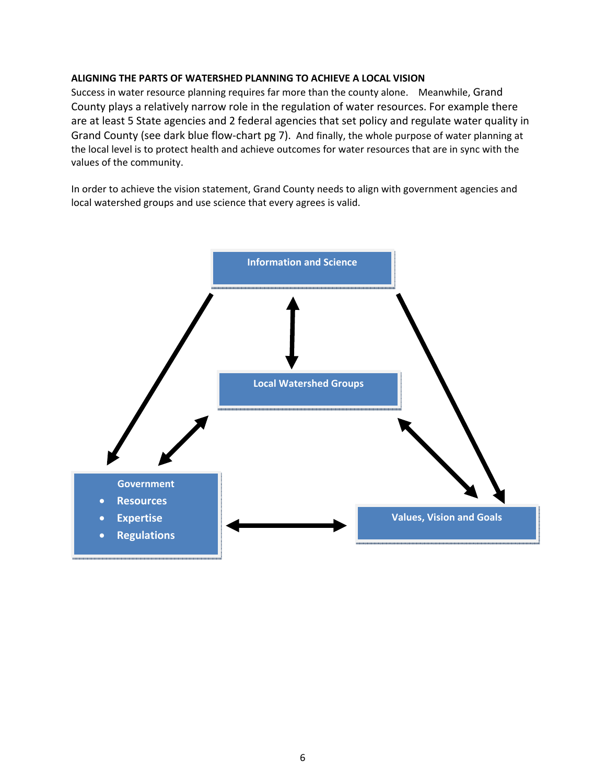#### **ALIGNING THE PARTS OF WATERSHED PLANNING TO ACHIEVE A LOCAL VISION**

Success in water resource planning requires far more than the county alone. Meanwhile, Grand County plays a relatively narrow role in the regulation of water resources. For example there are at least 5 State agencies and 2 federal agencies that set policy and regulate water quality in Grand County (see dark blue flow‐chart pg 7). And finally, the whole purpose of water planning at the local level is to protect health and achieve outcomes for water resources that are in sync with the values of the community.

In order to achieve the vision statement, Grand County needs to align with government agencies and local watershed groups and use science that every agrees is valid.

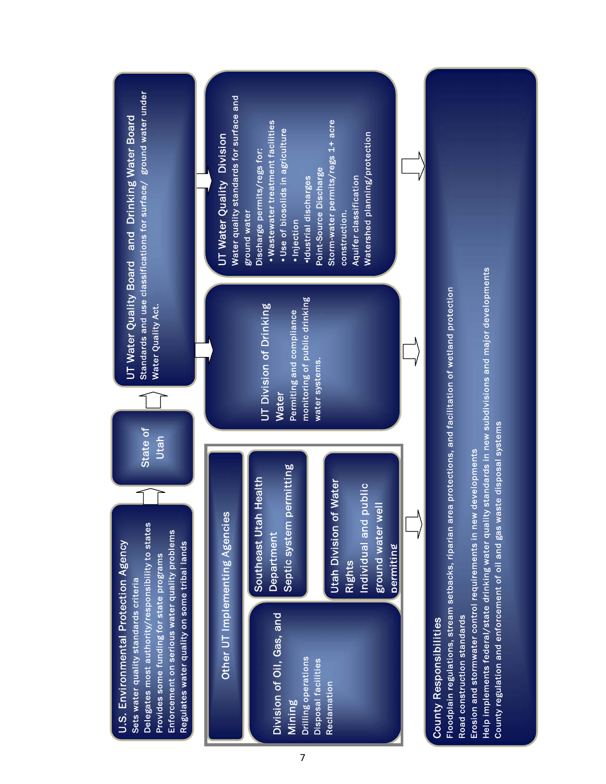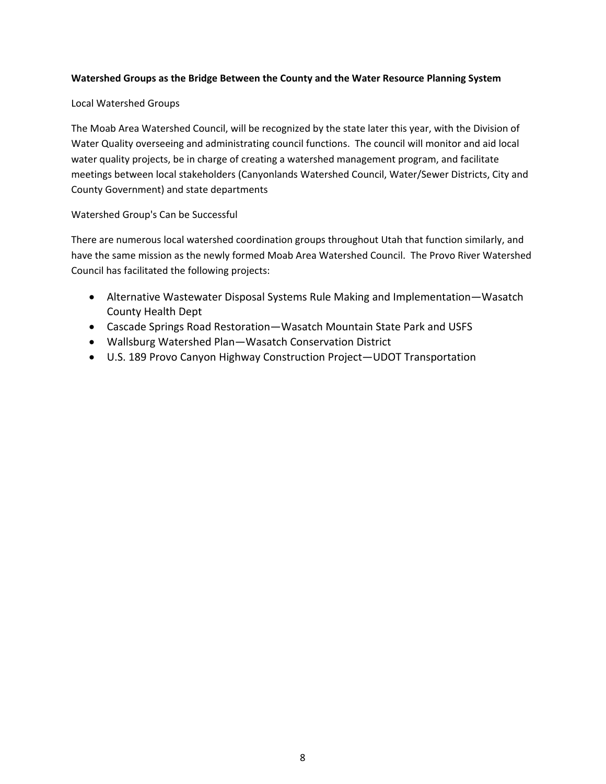#### **Watershed Groups as the Bridge Between the County and the Water Resource Planning System**

#### Local Watershed Groups

The Moab Area Watershed Council, will be recognized by the state later this year, with the Division of Water Quality overseeing and administrating council functions. The council will monitor and aid local water quality projects, be in charge of creating a watershed management program, and facilitate meetings between local stakeholders (Canyonlands Watershed Council, Water/Sewer Districts, City and County Government) and state departments

# Watershed Group's Can be Successful

There are numerous local watershed coordination groups throughout Utah that function similarly, and have the same mission as the newly formed Moab Area Watershed Council. The Provo River Watershed Council has facilitated the following projects:

- Alternative Wastewater Disposal Systems Rule Making and Implementation—Wasatch County Health Dept
- Cascade Springs Road Restoration—Wasatch Mountain State Park and USFS
- Wallsburg Watershed Plan—Wasatch Conservation District
- U.S. 189 Provo Canyon Highway Construction Project—UDOT Transportation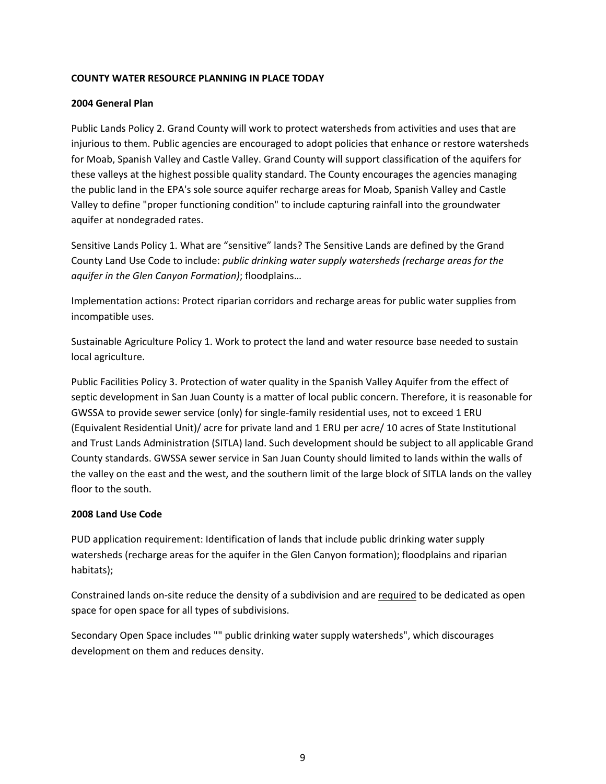#### **COUNTY WATER RESOURCE PLANNING IN PLACE TODAY**

#### **2004 General Plan**

Public Lands Policy 2. Grand County will work to protect watersheds from activities and uses that are injurious to them. Public agencies are encouraged to adopt policies that enhance or restore watersheds for Moab, Spanish Valley and Castle Valley. Grand County will support classification of the aquifers for these valleys at the highest possible quality standard. The County encourages the agencies managing the public land in the EPA's sole source aquifer recharge areas for Moab, Spanish Valley and Castle Valley to define "proper functioning condition" to include capturing rainfall into the groundwater aquifer at nondegraded rates.

Sensitive Lands Policy 1. What are "sensitive" lands? The Sensitive Lands are defined by the Grand County Land Use Code to include: *public drinking water supply watersheds (recharge areas for the aquifer in the Glen Canyon Formation)*; floodplains…

Implementation actions: Protect riparian corridors and recharge areas for public water supplies from incompatible uses.

Sustainable Agriculture Policy 1. Work to protect the land and water resource base needed to sustain local agriculture.

Public Facilities Policy 3. Protection of water quality in the Spanish Valley Aquifer from the effect of septic development in San Juan County is a matter of local public concern. Therefore, it is reasonable for GWSSA to provide sewer service (only) for single‐family residential uses, not to exceed 1 ERU (Equivalent Residential Unit)/ acre for private land and 1 ERU per acre/ 10 acres of State Institutional and Trust Lands Administration (SITLA) land. Such development should be subject to all applicable Grand County standards. GWSSA sewer service in San Juan County should limited to lands within the walls of the valley on the east and the west, and the southern limit of the large block of SITLA lands on the valley floor to the south.

# **2008 Land Use Code**

PUD application requirement: Identification of lands that include public drinking water supply watersheds (recharge areas for the aquifer in the Glen Canyon formation); floodplains and riparian habitats);

Constrained lands on-site reduce the density of a subdivision and are required to be dedicated as open space for open space for all types of subdivisions.

Secondary Open Space includes "" public drinking water supply watersheds", which discourages development on them and reduces density.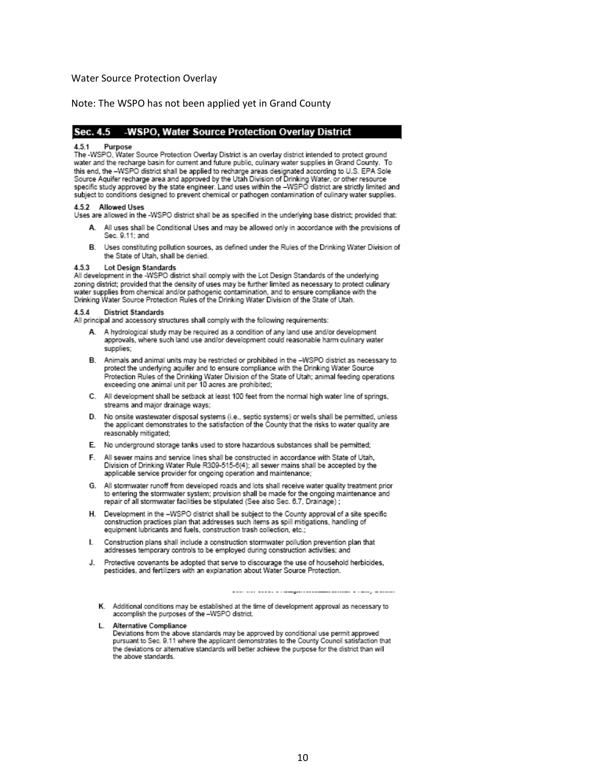#### Water Source Protection Overlay

#### Note: The WSPO has not been applied yet in Grand County

#### Sec. 4.5 -WSPO, Water Source Protection Overlay District

#### 451 Purpose

The -WSPO. Water Source Protection Overlay District is an overlay district intended to protect ground water and the recharge basin for current and future public, culinary water supplies in Grand County. To this end, the -WSPO district shall be applied to recharge areas designated according to U.S. EPA Sole the structure way to distinct a state of the Utah Division of Drinking Water, or other resource<br>specific study approved by the state engineer. Land uses within the -WSPO district are strictly limited and<br>specific study app subject to conditions designed to prevent chemical or pathogen contamination of culinary water supplies.

#### 4.5.2 Allowed Uses

Uses are allowed in the -WSPO district shall be as specified in the underlying base district: provided that:

- All uses shall be Conditional Uses and may be allowed only in accordance with the provisions of Sec. 9.11; and
- B. Uses constituting pollution sources, as defined under the Rules of the Drinking Water Division of the State of Utah, shall be denied.

#### Lot Design Standards 453

All development in the -WSPO district shall comply with the Lot Design Standards of the underlying zoning district; provided that the density of uses may be further limited as necessary to protect culinary water supplies from chemical and/or pathogenic contamination, and to ensure compliance with the Drinking Water Source Protection Rules of the Drinking Water Division of the State of Utah.

#### **District Standards** 454

All principal and accessory structures shall comply with the following requirements:

- A. A hydrological study may be required as a condition of any land use and/or development approvals, where such land use and/or development could reasonable harm culinary water supplies:
- B. Animals and animal units may be restricted or prohibited in the -WSPO district as necessary to protect the underlying aquifer and to ensure compliance with the Drinking Water Source Protection Rules of the Drinking Water Division of the State of Utah; animal feeding operations exceeding one animal unit per 10 acres are prohibited;
- C. All development shall be setback at least 100 feet from the normal high water line of springs, streams and major drainage ways;
- D. No onsite wastewater disposal systems (i.e., septic systems) or wells shall be permitted, unless the applicant demonstrates to the satisfaction of the County that the risks to water quality are reasonably mitigated;
- E. No underground storage tanks used to store hazardous substances shall be permitted;
- F. All sewer mains and service lines shall be constructed in accordance with State of Utah, Division of Drinking Water Rule R309-515-6(4); all sewer mains shall be accepted by the applicable service provider for ongoing operation and maintenance;
- G. All stormwater runoff from developed roads and lots shall receive water quality treatment prior to entering the stormwater system; provision shall be made for the ongoing maintenance and repair of all stomwater facilities be stipulated (See also Sec. 6.7, Drainage);
- H. Development in the -WSPO district shall be subject to the County approval of a site specific construction practices plan that addresses such items as spill mitigations, handling of equipment lubricants and fuels, construction trash collection, etc.;
- Construction plans shall include a construction stormwater pollution prevention plan that L. addresses temporary controls to be employed during construction activities; and
- J. Protective covenants be adopted that serve to discourage the use of household herbicides, pesticides, and fertilizers with an explanation about Water Source Protection.

- K. Additional conditions may be established at the time of development approval as necessary to accomplish the purposes of the -WSPO district.
- L. Alternative Compliance
	- Deviations from the above standards may be approved by conditional use permit approved pursuant to Sec. 9.11 where the applicant demonstrates to the County Council satisfaction that the deviations or alternative standards will better achieve the purpose for the district than will the above standards.